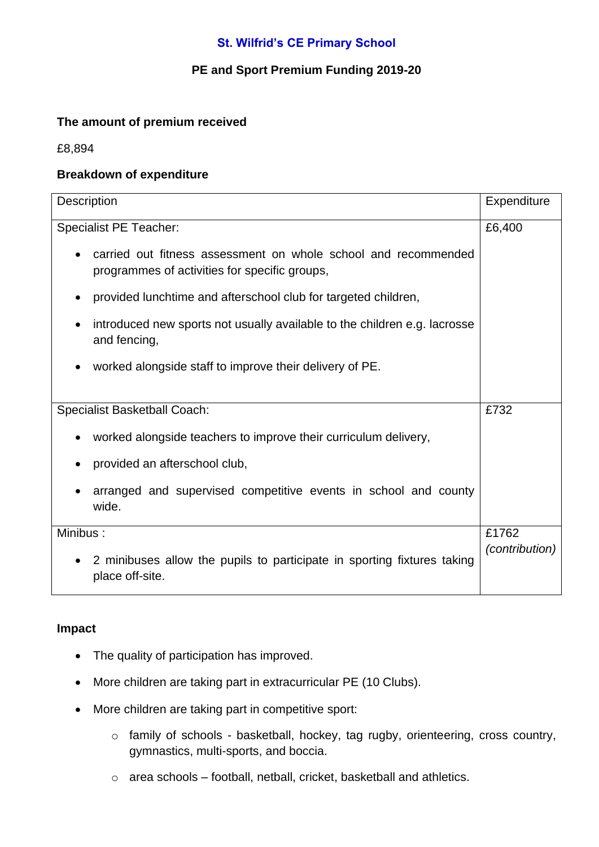# **St. Wilfrid's CE Primary School**

## **PE and Sport Premium Funding 2019-20**

### **The amount of premium received**

£8,894

### **Breakdown of expenditure**

| Description                                                                                                     | Expenditure           |
|-----------------------------------------------------------------------------------------------------------------|-----------------------|
| <b>Specialist PE Teacher:</b>                                                                                   | £6,400                |
| carried out fitness assessment on whole school and recommended<br>programmes of activities for specific groups, |                       |
| provided lunchtime and afterschool club for targeted children,                                                  |                       |
| introduced new sports not usually available to the children e.g. lacrosse<br>and fencing,                       |                       |
| worked alongside staff to improve their delivery of PE.                                                         |                       |
| <b>Specialist Basketball Coach:</b>                                                                             | £732                  |
| worked alongside teachers to improve their curriculum delivery,                                                 |                       |
| provided an afterschool club,                                                                                   |                       |
| arranged and supervised competitive events in school and county<br>wide.                                        |                       |
| Minibus:                                                                                                        | £1762                 |
| 2 minibuses allow the pupils to participate in sporting fixtures taking<br>$\bullet$<br>place off-site.         | <i>(contribution)</i> |

#### **Impact**

- The quality of participation has improved.
- More children are taking part in extracurricular PE (10 Clubs).
- More children are taking part in competitive sport:
	- o family of schools basketball, hockey, tag rugby, orienteering, cross country, gymnastics, multi-sports, and boccia.
	- o area schools football, netball, cricket, basketball and athletics.